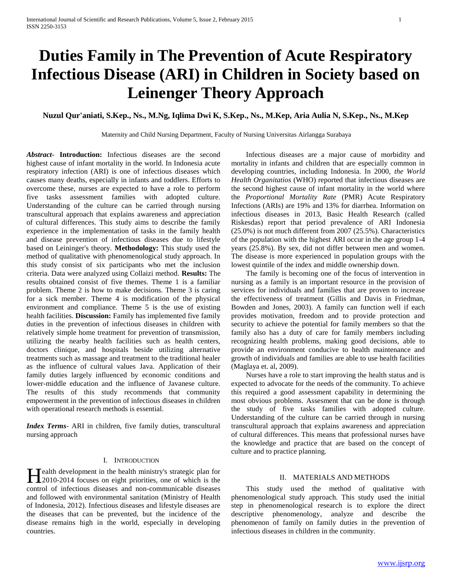# **Duties Family in The Prevention of Acute Respiratory Infectious Disease (ARI) in Children in Society based on Leinenger Theory Approach**

## **Nuzul Qur'aniati, S.Kep., Ns., M.Ng, Iqlima Dwi K, S.Kep., Ns., M.Kep, Aria Aulia N, S.Kep., Ns., M.Kep**

Maternity and Child Nursing Department, Faculty of Nursing Universitas Airlangga Surabaya

*Abstract***- Introduction:** Infectious diseases are the second highest cause of infant mortality in the world. In Indonesia acute respiratory infection (ARI) is one of infectious diseases which causes many deaths, especially in infants and toddlers. Efforts to overcome these, nurses are expected to have a role to perform five tasks assessment families with adopted culture. Understanding of the culture can be carried through nursing transcultural approach that explains awareness and appreciation of cultural differences. This study aims to describe the family experience in the implementation of tasks in the family health and disease prevention of infectious diseases due to lifestyle based on Leininger's theory. **Methodology:** This study used the method of qualitative with phenomenological study approach. In this study consist of six participants who met the inclusion criteria. Data were analyzed using Collaizi method. **Results:** The results obtained consist of five themes. Theme 1 is a familiar problem. Theme 2 is how to make decisions. Theme 3 is caring for a sick member. Theme 4 is modification of the physical environment and compliance. Theme 5 is the use of existing health facilities. **Discussion:** Family has implemented five family duties in the prevention of infectious diseases in children with relatively simple home treatment for prevention of transmission, utilizing the nearby health facilities such as health centers, doctors clinique, and hospitals beside utilizing alternative treatments such as massage and treatment to the traditional healer as the influence of cultural values Java. Application of their family duties largely influenced by economic conditions and lower-middle education and the influence of Javanese culture. The results of this study recommends that community empowerment in the prevention of infectious diseases in children with operational research methods is essential.

*Index Terms*- ARI in children, five family duties, transcultural nursing approach

## I. INTRODUCTION

ealth development in the health ministry's strategic plan for Health development in the health ministry's strategic plan for 12010-2014 focuses on eight priorities, one of which is the control of infectious diseases and non-communicable diseases and followed with environmental sanitation (Ministry of Health of Indonesia, 2012). Infectious diseases and lifestyle diseases are the diseases that can be prevented, but the incidence of the disease remains high in the world, especially in developing countries.

 Infectious diseases are a major cause of morbidity and mortality in infants and children that are especially common in developing countries, including Indonesia. In 2000, *the World Health Organitatios* (WHO) reported that infectious diseases are the second highest cause of infant mortality in the world where the *Proportional Mortality Rate* (PMR) Acute Respiratory Infections (ARIs) are 19% and 13% for diarrhea. Information on infectious diseases in 2013, Basic Health Research (called Riskesdas) report that period prevalence of ARI Indonesia (25.0%) is not much different from 2007 (25.5%). Characteristics of the population with the highest ARI occur in the age group 1-4 years (25.8%). By sex, did not differ between men and women. The disease is more experienced in population groups with the lowest quintile of the index and middle ownership down.

 The family is becoming one of the focus of intervention in nursing as a family is an important resource in the provision of services for individuals and families that are proven to increase the effectiveness of treatment (Gillis and Davis in Friedman, Bowden and Jones, 2003). A family can function well if each provides motivation, freedom and to provide protection and security to achieve the potential for family members so that the family also has a duty of care for family members including recognizing health problems, making good decisions, able to provide an environment conducive to health maintenance and growth of individuals and families are able to use health facilities (Maglaya et. al, 2009).

 Nurses have a role to start improving the health status and is expected to advocate for the needs of the community. To achieve this required a good assessment capability in determining the most obvious problems. Assesment that can be done is through the study of five tasks families with adopted culture. Understanding of the culture can be carried through in nursing transcultural approach that explains awareness and appreciation of cultural differences. This means that professional nurses have the knowledge and practice that are based on the concept of culture and to practice planning.

## II. MATERIALS AND METHODS

 This study used the method of qualitative with phenomenological study approach. This study used the initial step in phenomenological research is to explore the direct descriptive phenomenology, analyze and describe the phenomenon of family on family duties in the prevention of infectious diseases in children in the community.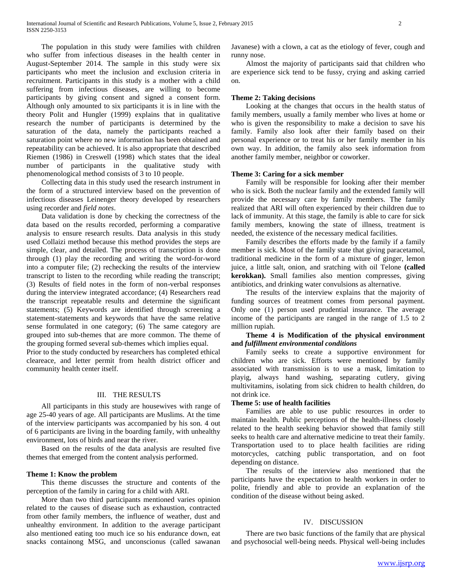The population in this study were families with children who suffer from infectious diseases in the health center in August-September 2014. The sample in this study were six participants who meet the inclusion and exclusion criteria in recruitment. Participants in this study is a mother with a child suffering from infectious diseases, are willing to become participants by giving consent and signed a consent form. Although only amounted to six participants it is in line with the theory Polit and Hungler (1999) explains that in qualitative research the number of participants is determined by the saturation of the data, namely the participants reached a saturation point where no new information has been obtained and repeatability can be achieved. It is also appropriate that described Riemen (1986) in Creswell (1998) which states that the ideal number of participants in the qualitative study with phenomenological method consists of 3 to 10 people.

 Collecting data in this study used the research instrument in the form of a structured interview based on the prevention of infectious diseases Leinenger theory developed by researchers using recorder and *field notes*.

 Data validation is done by checking the correctness of the data based on the results recorded, performing a comparative analysis to ensure research results. Data analysis in this study used Collaizi method because this method provides the steps are simple, clear, and detailed. The process of transcription is done through (1) play the recording and writing the word-for-word into a computer file; (2) rechecking the results of the interview transcript to listen to the recording while reading the transcript; (3) Results of field notes in the form of non-verbal responses during the interview integrated accordance; (4) Researchers read the transcript repeatable results and determine the significant statements; (5) Keywords are identified through screening a statement-statements and keywords that have the same relative sense formulated in one category; (6) The same category are grouped into sub-themes that are more common. The theme of the grouping formed several sub-themes which implies equal.

Prior to the study conducted by researchers has completed ethical cleareace, and letter permit from health district officer and community health center itself.

## III. THE RESULTS

 All participants in this study are housewives with range of age 25-40 years of age. All participants are Muslims. At the time of the interview participants was accompanied by his son. 4 out of 6 participants are living in the boarding family, with unhealthy environment, lots of birds and near the river.

 Based on the results of the data analysis are resulted five themes that emerged from the content analysis performed.

#### **Theme 1: Know the problem**

 This theme discusses the structure and contents of the perception of the family in caring for a child with ARI.

 More than two third participants mentioned varies opinion related to the causes of disease such as exhaustion, contracted from other family members, the influence of weather, dust and unhealthy environment. In addition to the average participant also mentioned eating too much ice so his endurance down, eat snacks containong MSG, and unconscionus (called sawanan Javanese) with a clown, a cat as the etiology of fever, cough and runny nose.

 Almost the majority of participants said that children who are experience sick tend to be fussy, crying and asking carried on.

## **Theme 2: Taking decisions**

 Looking at the changes that occurs in the health status of family members, usually a family member who lives at home or who is given the responsibility to make a decision to save his family. Family also look after their family based on their personal experience or to treat his or her family member in his own way. In addition, the family also seek information from another family member, neighbor or coworker.

## **Theme 3: Caring for a sick member**

 Family will be responsible for looking after their member who is sick. Both the nuclear family and the extended family will provide the necessary care by family members. The family realized that ARI will often experienced by their children due to lack of immunity. At this stage, the family is able to care for sick family members, knowing the state of illness, treatment is needed, the existence of the necessary medical facilities.

 Family describes the efforts made by the family if a family member is sick. Most of the family state that giving paracetamol, traditional medicine in the form of a mixture of ginger, lemon juice, a little salt, onion, and sratching with oil Telone **(called kerokkan).** Small families also mention compresses, giving antibiotics, and drinking water convulsions as alternative.

 The results of the interview explains that the majority of funding sources of treatment comes from personal payment. Only one (1) person used prudential insurance. The average income of the participants are ranged in the range of 1.5 to 2 million rupiah.

## **Theme 4 is Modification of the physical environment and** *fulfillment environmental conditions*

 Family seeks to create a supportive environment for children who are sick. Efforts were mentioned by family associated with transmission is to use a mask, limitation to playig, always hand washing, separating cutlery, giving multivitamins, isolating from sick chidren to health children, do not drink ice.

## **Theme 5: use of health facilities**

 Families are able to use public resources in order to maintain health. Public perceptions of the health-illness closely related to the health seeking behavior showed that family still seeks to health care and alternative medicine to treat their family. Transportation used to to place health facilities are riding motorcycles, catching public transportation, and on foot depending on distance.

 The results of the interview also mentioned that the participants have the expectation to health workers in order to polite, friendly and able to provide an explanation of the condition of the disease without being asked.

## IV. DISCUSSION

 There are two basic functions of the family that are physical and psychosocial well-being needs. Physical well-being includes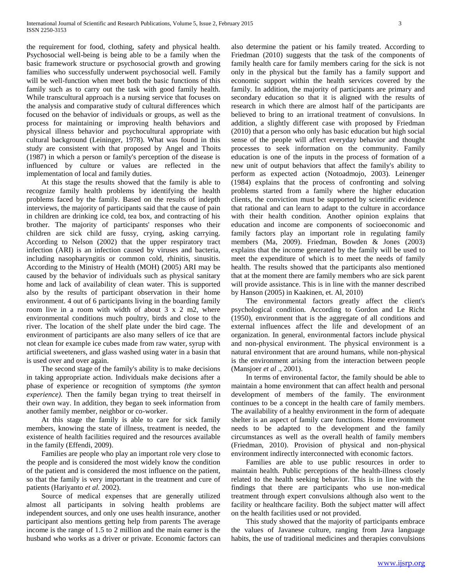the requirement for food, clothing, safety and physical health. Psychosocial well-being is being able to be a family when the basic framework structure or psychosocial growth and growing families who successfully underwent psychosocial well. Family will be well-function when meet both the basic functions of this family such as to carry out the task with good family health. While transcultural approach is a nursing service that focuses on the analysis and comparative study of cultural differences which focused on the behavior of individuals or groups, as well as the process for maintaining or improving health behaviors and physical illness behavior and psychocultural appropriate with cultural background (Leininger, 1978). What was found in this study are consistent with that proposed by Angel and Thoits (1987) in which a person or family's perception of the disease is influenced by culture or values are reflected in the implementation of local and family duties.

 At this stage the results showed that the family is able to recognize family health problems by identifying the health problems faced by the family. Based on the results of indepth interviews, the majority of participants said that the cause of pain in children are drinking ice cold, tea box, and contracting of his brother. The majority of participants' responses who their children are sick child are fussy, crying, asking carrying. According to Nelson (2002) that the upper respiratory tract infection (ARI) is an infection caused by viruses and bacteria, including nasopharyngitis or common cold, rhinitis, sinusitis. According to the Ministry of Health (MOH) (2005) ARI may be caused by the behavior of individuals such as physical sanitary home and lack of availability of clean water. This is supported also by the results of participant observation in their home environment. 4 out of 6 participants living in the boarding family room live in a room with width of about 3 x 2 m2, where environmental conditions much poultry, birds and close to the river. The location of the shelf plate under the bird cage. The environment of participants are also many sellers of ice that are not clean for example ice cubes made from raw water, syrup with artificial sweeteners, and glass washed using water in a basin that is used over and over again.

 The second stage of the family's ability is to make decisions in taking appropriate action. Individuals make decisions after a phase of experience or recognition of symptoms *(the symton experience).* Then the family began trying to treat theirself in their own way. In addition, they began to seek information from another family member, neighbor or co-worker.

 At this stage the family is able to care for sick family members, knowing the state of illness, treatment is needed, the existence of health facilities required and the resources available in the family (Effendi, 2009).

 Families are people who play an important role very close to the people and is considered the most widely know the condition of the patient and is considered the most influence on the patient, so that the family is very important in the treatment and cure of patients (Hariyanto *et al.* 2002).

 Source of medical expenses that are generally utilized almost all participants in solving health problems are independent sources, and only one uses health insurance, another participant also mentions getting help from parents The average income is the range of 1.5 to 2 million and the main earner is the husband who works as a driver or private. Economic factors can also determine the patient or his family treated. According to Friedman (2010) suggests that the task of the components of family health care for family members caring for the sick is not only in the physical but the family has a family support and economic support within the health services covered by the family. In addition, the majority of participants are primary and secondary education so that it is aligned with the results of research in which there are almost half of the participants are believed to bring to an irrational treatment of convulsions. In addition, a slightly different case with proposed by Friedman (2010) that a person who only has basic education but high social sense of the people will affect everyday behavior and thought processes to seek information on the community. Family education is one of the inputs in the process of formation of a new unit of output behaviors that affect the family's ability to perform as expected action (Notoadmojo, 2003). Leinenger (1984) explains that the process of confronting and solving problems started from a family where the higher education clients, the conviction must be supported by scientific evidence that rational and can learn to adapt to the culture in accordance with their health condition. Another opinion explains that education and income are components of socioeconomic and family factors play an important role in regulating family members (Ma, 2009). Friedman, Bowden & Jones (2003) explains that the income generated by the family will be used to meet the expenditure of which is to meet the needs of family health. The results showed that the participants also mentioned that at the moment there are family members who are sick parent will provide assistance. This is in line with the manner described by Hanson (2005) in Kaakinen, et. Al, 2010)

 The environmental factors greatly affect the client's psychological condition. According to Gordon and Le Richt (1950), environment that is the aggregate of all conditions and external influences affect the life and development of an organization. In general, environmental factors include physical and non-physical environment. The physical environment is a natural environment that are around humans, while non-physical is the environment arising from the interaction between people (Mansjoer *et al* ., 2001).

 In terms of environental factor, the family should be able to maintain a home environment that can affect health and personal development of members of the family. The environment continues to be a concept in the health care of family members. The availability of a healthy environment in the form of adequate shelter is an aspect of family care functions. Home environment needs to be adapted to the development and the family circumstances as well as the overall health of family members (Friedman, 2010). Provision of physical and non-physical environment indirectly interconnected with economic factors.

 Families are able to use public resources in order to maintain health. Public perceptions of the health-illness closely related to the health seeking behavior. This is in line with the findings that there are participants who use non-medical treatment through expert convulsions although also went to the facility or healthcare facility. Both the subject matter will affect on the health facilities used or not provided.

 This study showed that the majority of participants embrace the values of Javanese culture, ranging from Java language habits, the use of traditional medicines and therapies convulsions